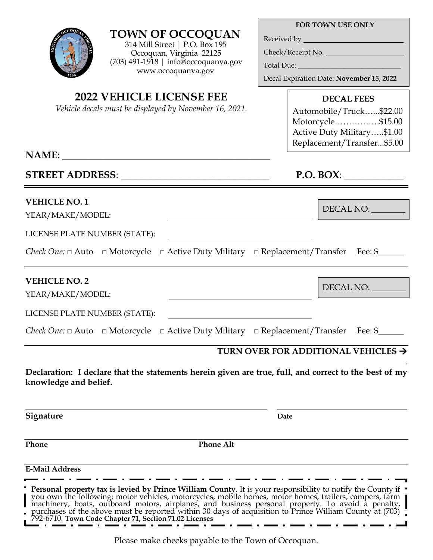| <b>TOWN OF OCCOQUAN</b>       |                                                                                                                                                                                                                                                                                                                                                                                                                                                                                                          |      | Received by <b>Exercise 2018</b> |                                                 |  |
|-------------------------------|----------------------------------------------------------------------------------------------------------------------------------------------------------------------------------------------------------------------------------------------------------------------------------------------------------------------------------------------------------------------------------------------------------------------------------------------------------------------------------------------------------|------|----------------------------------|-------------------------------------------------|--|
|                               | 314 Mill Street   P.O. Box 195                                                                                                                                                                                                                                                                                                                                                                                                                                                                           |      |                                  |                                                 |  |
|                               | Occoquan, Virginia 22125<br>$(703)$ 491-1918   info@occoquanva.gov                                                                                                                                                                                                                                                                                                                                                                                                                                       |      |                                  | Check/Receipt No.                               |  |
|                               | www.occoquanva.gov                                                                                                                                                                                                                                                                                                                                                                                                                                                                                       |      |                                  |                                                 |  |
|                               |                                                                                                                                                                                                                                                                                                                                                                                                                                                                                                          |      |                                  | Decal Expiration Date: November 15, 2022        |  |
|                               | <b>2022 VEHICLE LICENSE FEE</b>                                                                                                                                                                                                                                                                                                                                                                                                                                                                          |      |                                  | <b>DECAL FEES</b>                               |  |
|                               | Vehicle decals must be displayed by November 16, 2021.                                                                                                                                                                                                                                                                                                                                                                                                                                                   |      | Automobile/Truck\$22.00          |                                                 |  |
|                               |                                                                                                                                                                                                                                                                                                                                                                                                                                                                                                          |      |                                  | Motorcycle\$15.00                               |  |
|                               |                                                                                                                                                                                                                                                                                                                                                                                                                                                                                                          |      |                                  | Active Duty Military\$1.00                      |  |
|                               |                                                                                                                                                                                                                                                                                                                                                                                                                                                                                                          |      |                                  | Replacement/Transfer\$5.00                      |  |
|                               |                                                                                                                                                                                                                                                                                                                                                                                                                                                                                                          |      |                                  | P.O. BOX:                                       |  |
|                               |                                                                                                                                                                                                                                                                                                                                                                                                                                                                                                          |      |                                  |                                                 |  |
| <b>VEHICLE NO. 1</b>          |                                                                                                                                                                                                                                                                                                                                                                                                                                                                                                          |      |                                  |                                                 |  |
| YEAR/MAKE/MODEL:              |                                                                                                                                                                                                                                                                                                                                                                                                                                                                                                          |      |                                  | DECAL NO.                                       |  |
| LICENSE PLATE NUMBER (STATE): |                                                                                                                                                                                                                                                                                                                                                                                                                                                                                                          |      |                                  |                                                 |  |
|                               |                                                                                                                                                                                                                                                                                                                                                                                                                                                                                                          |      |                                  |                                                 |  |
|                               |                                                                                                                                                                                                                                                                                                                                                                                                                                                                                                          |      |                                  |                                                 |  |
| <b>VEHICLE NO. 2</b>          |                                                                                                                                                                                                                                                                                                                                                                                                                                                                                                          |      |                                  |                                                 |  |
| YEAR/MAKE/MODEL:              |                                                                                                                                                                                                                                                                                                                                                                                                                                                                                                          |      |                                  | DECAL NO.                                       |  |
| LICENSE PLATE NUMBER (STATE): |                                                                                                                                                                                                                                                                                                                                                                                                                                                                                                          |      |                                  |                                                 |  |
|                               | <i>Check One:</i> $\Box$ Auto $\Box$ Motorcycle $\Box$ Active Duty Military $\Box$ Replacement/Transfer Fee: \$                                                                                                                                                                                                                                                                                                                                                                                          |      |                                  |                                                 |  |
|                               |                                                                                                                                                                                                                                                                                                                                                                                                                                                                                                          |      |                                  | TURN OVER FOR ADDITIONAL VEHICLES $\rightarrow$ |  |
| knowledge and belief.         | Declaration: I declare that the statements herein given are true, full, and correct to the best of my                                                                                                                                                                                                                                                                                                                                                                                                    |      |                                  |                                                 |  |
| Signature                     |                                                                                                                                                                                                                                                                                                                                                                                                                                                                                                          | Date |                                  |                                                 |  |
| Phone                         | <b>Phone Alt</b>                                                                                                                                                                                                                                                                                                                                                                                                                                                                                         |      |                                  |                                                 |  |
| <b>E-Mail Address</b>         |                                                                                                                                                                                                                                                                                                                                                                                                                                                                                                          |      |                                  |                                                 |  |
|                               |                                                                                                                                                                                                                                                                                                                                                                                                                                                                                                          |      |                                  |                                                 |  |
|                               | <b>Personal property tax is levied by Prince William County.</b> It is your responsibility to notify the County if<br>you own the following: motor vehicles, motorcycles, mobile homes, motor homes, trailers, campers, farm  <br>machinery, boats, outboard motors, airplanes, and business personal property. To avoid a penalty,<br>purchases of the above must be reported within 30 days of acquisition to Prince William County at (703)<br>792-6710. Town Code Chapter 71, Section 71.02 Licenses |      |                                  |                                                 |  |

**FOR TOWN USE ONLY**

Please make checks payable to the Town of Occoquan.